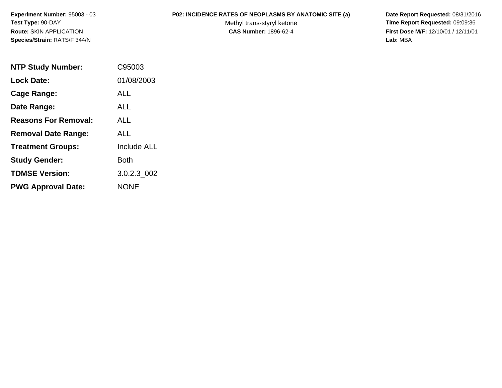# **P02: INCIDENCE RATES OF NEOPLASMS BY ANATOMIC SITE (a) Date Report Requested:** 08/31/2016

Methyl trans-styryl ketone<br>CAS Number: 1896-62-4

 **Time Report Requested:** 09:09:36 **First Dose M/F:** 12/10/01 / 12/11/01<br>Lab: MBA **Lab:** MBA

| <b>NTP Study Number:</b>    | C95003             |
|-----------------------------|--------------------|
| <b>Lock Date:</b>           | 01/08/2003         |
| Cage Range:                 | ALL                |
| Date Range:                 | AI L               |
| <b>Reasons For Removal:</b> | AI I               |
| <b>Removal Date Range:</b>  | ALL                |
| <b>Treatment Groups:</b>    | <b>Include ALL</b> |
| <b>Study Gender:</b>        | Both               |
| <b>TDMSE Version:</b>       | 3.0.2.3 002        |
| <b>PWG Approval Date:</b>   | <b>NONE</b>        |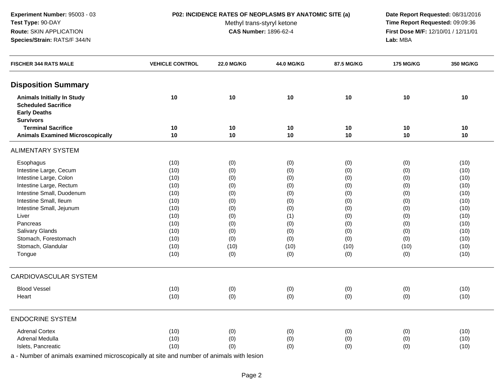# **P02: INCIDENCE RATES OF NEOPLASMS BY ANATOMIC SITE (a) Date Report Requested:** 08/31/2016

Methyl trans-styryl ketone<br>CAS Number: 1896-62-4

 **Time Report Requested:** 09:09:36 **First Dose M/F:** 12/10/01 / 12/11/01<br>**Lab:** MBA **Lab:** MBA

| <b>FISCHER 344 RATS MALE</b>            | <b>VEHICLE CONTROL</b> | <b>22.0 MG/KG</b> | 44.0 MG/KG | 87.5 MG/KG | <b>175 MG/KG</b> | <b>350 MG/KG</b> |
|-----------------------------------------|------------------------|-------------------|------------|------------|------------------|------------------|
| <b>Disposition Summary</b>              |                        |                   |            |            |                  |                  |
| <b>Animals Initially In Study</b>       | 10                     | $10$              | 10         | 10         | 10               | 10               |
| <b>Scheduled Sacrifice</b>              |                        |                   |            |            |                  |                  |
| <b>Early Deaths</b>                     |                        |                   |            |            |                  |                  |
| <b>Survivors</b>                        |                        |                   |            |            |                  |                  |
| <b>Terminal Sacrifice</b>               | 10                     | 10                | 10         | 10         | 10               | 10               |
| <b>Animals Examined Microscopically</b> | 10                     | 10                | 10         | 10         | 10               | 10               |
| <b>ALIMENTARY SYSTEM</b>                |                        |                   |            |            |                  |                  |
| Esophagus                               | (10)                   | (0)               | (0)        | (0)        | (0)              | (10)             |
| Intestine Large, Cecum                  | (10)                   | (0)               | (0)        | (0)        | (0)              | (10)             |
| Intestine Large, Colon                  | (10)                   | (0)               | (0)        | (0)        | (0)              | (10)             |
| Intestine Large, Rectum                 | (10)                   | (0)               | (0)        | (0)        | (0)              | (10)             |
| Intestine Small, Duodenum               | (10)                   | (0)               | (0)        | (0)        | (0)              | (10)             |
| Intestine Small, Ileum                  | (10)                   | (0)               | (0)        | (0)        | (0)              | (10)             |
| Intestine Small, Jejunum                | (10)                   | (0)               | (0)        | (0)        | (0)              | (10)             |
| Liver                                   | (10)                   | (0)               | (1)        | (0)        | (0)              | (10)             |
| Pancreas                                | (10)                   | (0)               | (0)        | (0)        | (0)              | (10)             |
| Salivary Glands                         | (10)                   | (0)               | (0)        | (0)        | (0)              | (10)             |
| Stomach, Forestomach                    | (10)                   | (0)               | (0)        | (0)        | (0)              | (10)             |
| Stomach, Glandular                      | (10)                   | (10)              | (10)       | (10)       | (10)             | (10)             |
| Tongue                                  | (10)                   | (0)               | (0)        | (0)        | (0)              | (10)             |
| <b>CARDIOVASCULAR SYSTEM</b>            |                        |                   |            |            |                  |                  |
| <b>Blood Vessel</b>                     | (10)                   | (0)               | (0)        | (0)        | (0)              | (10)             |
| Heart                                   | (10)                   | (0)               | (0)        | (0)        | (0)              | (10)             |
| <b>ENDOCRINE SYSTEM</b>                 |                        |                   |            |            |                  |                  |
| <b>Adrenal Cortex</b>                   | (10)                   | (0)               | (0)        | (0)        | (0)              | (10)             |
| Adrenal Medulla                         | (10)                   | (0)               | (0)        | (0)        | (0)              | (10)             |
| Islets, Pancreatic                      | (10)                   | (0)               | (0)        | (0)        | (0)              | (10)             |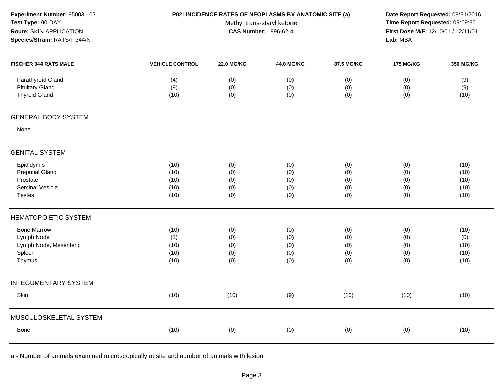| Experiment Number: 95003 - 03<br>Test Type: 90-DAY<br>Route: SKIN APPLICATION<br>Species/Strain: RATS/F 344/N | P02: INCIDENCE RATES OF NEOPLASMS BY ANATOMIC SITE (a) | Date Report Requested: 08/31/2016<br>Time Report Requested: 09:09:36<br>First Dose M/F: 12/10/01 / 12/11/01<br>Lab: MBA |                                 |                                 |                                 |                                      |
|---------------------------------------------------------------------------------------------------------------|--------------------------------------------------------|-------------------------------------------------------------------------------------------------------------------------|---------------------------------|---------------------------------|---------------------------------|--------------------------------------|
| <b>FISCHER 344 RATS MALE</b>                                                                                  | <b>VEHICLE CONTROL</b>                                 | <b>22.0 MG/KG</b>                                                                                                       | 44.0 MG/KG                      | 87.5 MG/KG                      | <b>175 MG/KG</b>                | 350 MG/KG                            |
| Parathyroid Gland<br><b>Pituitary Gland</b><br><b>Thyroid Gland</b>                                           | (4)<br>(9)<br>(10)                                     | (0)<br>(0)<br>(0)                                                                                                       | (0)<br>(0)<br>(0)               | (0)<br>(0)<br>(0)               | (0)<br>(0)<br>(0)               | (9)<br>(9)<br>(10)                   |
| <b>GENERAL BODY SYSTEM</b>                                                                                    |                                                        |                                                                                                                         |                                 |                                 |                                 |                                      |
| None                                                                                                          |                                                        |                                                                                                                         |                                 |                                 |                                 |                                      |
| <b>GENITAL SYSTEM</b>                                                                                         |                                                        |                                                                                                                         |                                 |                                 |                                 |                                      |
| Epididymis<br><b>Preputial Gland</b><br>Prostate<br>Seminal Vesicle<br><b>Testes</b>                          | (10)<br>(10)<br>(10)<br>(10)<br>(10)                   | (0)<br>(0)<br>(0)<br>(0)<br>(0)                                                                                         | (0)<br>(0)<br>(0)<br>(0)<br>(0) | (0)<br>(0)<br>(0)<br>(0)<br>(0) | (0)<br>(0)<br>(0)<br>(0)<br>(0) | (10)<br>(10)<br>(10)<br>(10)<br>(10) |
| <b>HEMATOPOIETIC SYSTEM</b>                                                                                   |                                                        |                                                                                                                         |                                 |                                 |                                 |                                      |
| <b>Bone Marrow</b><br>Lymph Node<br>Lymph Node, Mesenteric<br>Spleen<br>Thymus                                | (10)<br>(1)<br>(10)<br>(10)<br>(10)                    | (0)<br>(0)<br>(0)<br>(0)<br>(0)                                                                                         | (0)<br>(0)<br>(0)<br>(0)<br>(0) | (0)<br>(0)<br>(0)<br>(0)<br>(0) | (0)<br>(0)<br>(0)<br>(0)<br>(0) | (10)<br>(0)<br>(10)<br>(10)<br>(10)  |
| <b>INTEGUMENTARY SYSTEM</b>                                                                                   |                                                        |                                                                                                                         |                                 |                                 |                                 |                                      |
| Skin                                                                                                          | (10)                                                   | (10)                                                                                                                    | (9)                             | (10)                            | (10)                            | (10)                                 |
| MUSCULOSKELETAL SYSTEM                                                                                        |                                                        |                                                                                                                         |                                 |                                 |                                 |                                      |
| Bone                                                                                                          | (10)                                                   | (0)                                                                                                                     | (0)                             | (0)                             | (0)                             | (10)                                 |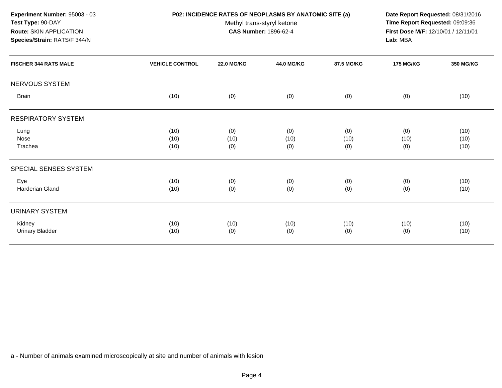**Experiment Number:** 95003 - 03**Test Type:** 90-DAY**Route:** SKIN APPLICATION

# **Species/Strain:** RATS/F 344/N

# **P02: INCIDENCE RATES OF NEOPLASMS BY ANATOMIC SITE (a) Date Report Requested:** 08/31/2016

Methyl trans-styryl ketone<br>CAS Number: 1896-62-4

 **Time Report Requested:** 09:09:36 **First Dose M/F:** 12/10/01 / 12/11/01<br>**Lab:** MBA **Lab:** MBA

| <b>FISCHER 344 RATS MALE</b>     | <b>VEHICLE CONTROL</b> | <b>22.0 MG/KG</b>  | <b>44.0 MG/KG</b>  | 87.5 MG/KG         | <b>175 MG/KG</b>   | <b>350 MG/KG</b>     |
|----------------------------------|------------------------|--------------------|--------------------|--------------------|--------------------|----------------------|
| NERVOUS SYSTEM                   |                        |                    |                    |                    |                    |                      |
| <b>Brain</b>                     | (10)                   | (0)                | (0)                | (0)                | (0)                | (10)                 |
| <b>RESPIRATORY SYSTEM</b>        |                        |                    |                    |                    |                    |                      |
| Lung<br>Nose<br>Trachea          | (10)<br>(10)<br>(10)   | (0)<br>(10)<br>(0) | (0)<br>(10)<br>(0) | (0)<br>(10)<br>(0) | (0)<br>(10)<br>(0) | (10)<br>(10)<br>(10) |
| SPECIAL SENSES SYSTEM            |                        |                    |                    |                    |                    |                      |
| Eye<br>Harderian Gland           | (10)<br>(10)           | (0)<br>(0)         | (0)<br>(0)         | (0)<br>(0)         | (0)<br>(0)         | (10)<br>(10)         |
| <b>URINARY SYSTEM</b>            |                        |                    |                    |                    |                    |                      |
| Kidney<br><b>Urinary Bladder</b> | (10)<br>(10)           | (10)<br>(0)        | (10)<br>(0)        | (10)<br>(0)        | (10)<br>(0)        | (10)<br>(10)         |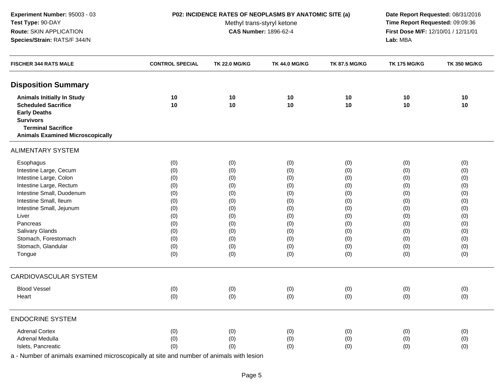# **P02: INCIDENCE RATES OF NEOPLASMS BY ANATOMIC SITE (a) Date Report Requested:** 08/31/2016

Methyl trans-styryl ketone<br>CAS Number: 1896-62-4

 **Time Report Requested:** 09:09:36 **First Dose M/F:** 12/10/01 / 12/11/01<br>**Lab:** MBA **Lab:** MBA

| <b>FISCHER 344 RATS MALE</b>            | <b>CONTROL SPECIAL</b> | <b>TK 22.0 MG/KG</b> | <b>TK 44.0 MG/KG</b> | <b>TK 87.5 MG/KG</b> | <b>TK 175 MG/KG</b> | <b>TK 350 MG/KG</b> |
|-----------------------------------------|------------------------|----------------------|----------------------|----------------------|---------------------|---------------------|
| <b>Disposition Summary</b>              |                        |                      |                      |                      |                     |                     |
| <b>Animals Initially In Study</b>       | 10                     | 10                   | 10                   | 10                   | 10                  | 10                  |
| <b>Scheduled Sacrifice</b>              | 10                     | 10                   | 10                   | 10                   | 10                  | 10                  |
| <b>Early Deaths</b>                     |                        |                      |                      |                      |                     |                     |
| <b>Survivors</b>                        |                        |                      |                      |                      |                     |                     |
| <b>Terminal Sacrifice</b>               |                        |                      |                      |                      |                     |                     |
| <b>Animals Examined Microscopically</b> |                        |                      |                      |                      |                     |                     |
| <b>ALIMENTARY SYSTEM</b>                |                        |                      |                      |                      |                     |                     |
| Esophagus                               | (0)                    | (0)                  | (0)                  | (0)                  | (0)                 | (0)                 |
| Intestine Large, Cecum                  | (0)                    | (0)                  | (0)                  | (0)                  | (0)                 | (0)                 |
| Intestine Large, Colon                  | (0)                    | (0)                  | (0)                  | (0)                  | (0)                 | (0)                 |
| Intestine Large, Rectum                 | (0)                    | (0)                  | (0)                  | (0)                  | (0)                 | (0)                 |
| Intestine Small, Duodenum               | (0)                    | (0)                  | (0)                  | (0)                  | (0)                 | (0)                 |
| Intestine Small, Ileum                  | (0)                    | (0)                  | (0)                  | (0)                  | (0)                 | (0)                 |
| Intestine Small, Jejunum                | (0)                    | (0)                  | (0)                  | (0)                  | (0)                 | (0)                 |
| Liver                                   | (0)                    | (0)                  | (0)                  | (0)                  | (0)                 | (0)                 |
| Pancreas                                | (0)                    | (0)                  | (0)                  | (0)                  | (0)                 | (0)                 |
| Salivary Glands                         | (0)                    | (0)                  | (0)                  | (0)                  | (0)                 | (0)                 |
| Stomach, Forestomach                    | (0)                    | (0)                  | (0)                  | (0)                  | (0)                 | (0)                 |
| Stomach, Glandular                      | (0)                    | (0)                  | (0)                  | (0)                  | (0)                 | (0)                 |
| Tongue                                  | (0)                    | (0)                  | (0)                  | (0)                  | (0)                 | (0)                 |
| <b>CARDIOVASCULAR SYSTEM</b>            |                        |                      |                      |                      |                     |                     |
| <b>Blood Vessel</b>                     | (0)                    | (0)                  | (0)                  | (0)                  | (0)                 | (0)                 |
| Heart                                   | (0)                    | (0)                  | (0)                  | (0)                  | (0)                 | (0)                 |
| <b>ENDOCRINE SYSTEM</b>                 |                        |                      |                      |                      |                     |                     |
| <b>Adrenal Cortex</b>                   | (0)                    | (0)                  | (0)                  | (0)                  | (0)                 | (0)                 |
| Adrenal Medulla                         | (0)                    | (0)                  | (0)                  | (0)                  | (0)                 | (0)                 |
| Islets, Pancreatic                      | (0)                    | (0)                  | (0)                  | (0)                  | (0)                 | (0)                 |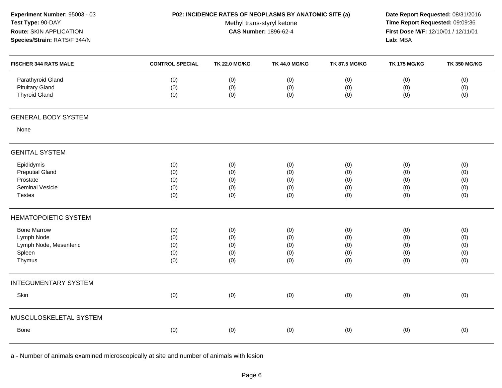| Experiment Number: 95003 - 03<br>Test Type: 90-DAY<br>Route: SKIN APPLICATION<br>Species/Strain: RATS/F 344/N | P02: INCIDENCE RATES OF NEOPLASMS BY ANATOMIC SITE (a) | Date Report Requested: 08/31/2016<br>Time Report Requested: 09:09:36<br>First Dose M/F: 12/10/01 / 12/11/01<br>Lab: MBA |                                 |                                 |                                 |                                 |
|---------------------------------------------------------------------------------------------------------------|--------------------------------------------------------|-------------------------------------------------------------------------------------------------------------------------|---------------------------------|---------------------------------|---------------------------------|---------------------------------|
| <b>FISCHER 344 RATS MALE</b>                                                                                  | <b>CONTROL SPECIAL</b>                                 | <b>TK 22.0 MG/KG</b>                                                                                                    | <b>TK 44.0 MG/KG</b>            | <b>TK 87.5 MG/KG</b>            | <b>TK 175 MG/KG</b>             | <b>TK 350 MG/KG</b>             |
| Parathyroid Gland<br><b>Pituitary Gland</b><br><b>Thyroid Gland</b>                                           | (0)<br>(0)<br>(0)                                      | (0)<br>(0)<br>(0)                                                                                                       | (0)<br>(0)<br>(0)               | (0)<br>(0)<br>(0)               | (0)<br>(0)<br>(0)               | (0)<br>(0)<br>(0)               |
| <b>GENERAL BODY SYSTEM</b>                                                                                    |                                                        |                                                                                                                         |                                 |                                 |                                 |                                 |
| None                                                                                                          |                                                        |                                                                                                                         |                                 |                                 |                                 |                                 |
| <b>GENITAL SYSTEM</b>                                                                                         |                                                        |                                                                                                                         |                                 |                                 |                                 |                                 |
| Epididymis<br><b>Preputial Gland</b><br>Prostate<br><b>Seminal Vesicle</b><br><b>Testes</b>                   | (0)<br>(0)<br>(0)<br>(0)<br>(0)                        | (0)<br>(0)<br>(0)<br>(0)<br>(0)                                                                                         | (0)<br>(0)<br>(0)<br>(0)<br>(0) | (0)<br>(0)<br>(0)<br>(0)<br>(0) | (0)<br>(0)<br>(0)<br>(0)<br>(0) | (0)<br>(0)<br>(0)<br>(0)<br>(0) |
| <b>HEMATOPOIETIC SYSTEM</b>                                                                                   |                                                        |                                                                                                                         |                                 |                                 |                                 |                                 |
| <b>Bone Marrow</b><br>Lymph Node<br>Lymph Node, Mesenteric<br>Spleen<br>Thymus                                | (0)<br>(0)<br>(0)<br>(0)<br>(0)                        | (0)<br>(0)<br>(0)<br>(0)<br>(0)                                                                                         | (0)<br>(0)<br>(0)<br>(0)<br>(0) | (0)<br>(0)<br>(0)<br>(0)<br>(0) | (0)<br>(0)<br>(0)<br>(0)<br>(0) | (0)<br>(0)<br>(0)<br>(0)<br>(0) |
| <b>INTEGUMENTARY SYSTEM</b>                                                                                   |                                                        |                                                                                                                         |                                 |                                 |                                 |                                 |
| Skin                                                                                                          | (0)                                                    | (0)                                                                                                                     | (0)                             | (0)                             | (0)                             | (0)                             |
| MUSCULOSKELETAL SYSTEM                                                                                        |                                                        |                                                                                                                         |                                 |                                 |                                 |                                 |
| <b>Bone</b>                                                                                                   | (0)                                                    | (0)                                                                                                                     | (0)                             | (0)                             | (0)                             | (0)                             |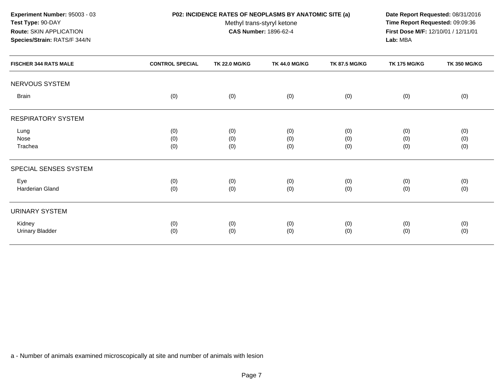**Experiment Number:** 95003 - 03**Test Type:** 90-DAY**Route:** SKIN APPLICATION

# **Species/Strain:** RATS/F 344/N

**P02: INCIDENCE RATES OF NEOPLASMS BY ANATOMIC SITE (a) Date Report Requested:** 08/31/2016

Methyl trans-styryl ketone<br>CAS Number: 1896-62-4

 **Time Report Requested:** 09:09:36 **First Dose M/F:** 12/10/01 / 12/11/01<br>**Lab:** MBA **Lab:** MBA

| <b>FISCHER 344 RATS MALE</b>     | <b>CONTROL SPECIAL</b> | <b>TK 22.0 MG/KG</b> | <b>TK 44.0 MG/KG</b> | <b>TK 87.5 MG/KG</b> | <b>TK 175 MG/KG</b> | <b>TK 350 MG/KG</b> |
|----------------------------------|------------------------|----------------------|----------------------|----------------------|---------------------|---------------------|
| NERVOUS SYSTEM                   |                        |                      |                      |                      |                     |                     |
| <b>Brain</b>                     | (0)                    | (0)                  | (0)                  | (0)                  | (0)                 | (0)                 |
| <b>RESPIRATORY SYSTEM</b>        |                        |                      |                      |                      |                     |                     |
| Lung<br>Nose<br>Trachea          | (0)<br>(0)<br>(0)      | (0)<br>(0)<br>(0)    | (0)<br>(0)<br>(0)    | (0)<br>(0)<br>(0)    | (0)<br>(0)<br>(0)   | (0)<br>(0)<br>(0)   |
| SPECIAL SENSES SYSTEM            |                        |                      |                      |                      |                     |                     |
| Eye<br>Harderian Gland           | (0)<br>(0)             | (0)<br>(0)           | (0)<br>(0)           | (0)<br>(0)           | (0)<br>(0)          | (0)<br>(0)          |
| <b>URINARY SYSTEM</b>            |                        |                      |                      |                      |                     |                     |
| Kidney<br><b>Urinary Bladder</b> | (0)<br>(0)             | (0)<br>(0)           | (0)<br>(0)           | (0)<br>(0)           | (0)<br>(0)          | (0)<br>(0)          |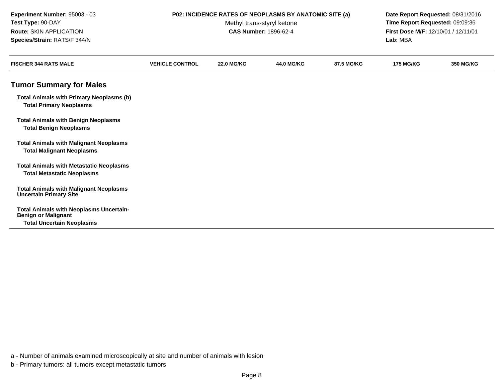| Experiment Number: 95003 - 03<br>Test Type: 90-DAY<br>Route: SKIN APPLICATION<br>Species/Strain: RATS/F 344/N    | P02: INCIDENCE RATES OF NEOPLASMS BY ANATOMIC SITE (a) | Date Report Requested: 08/31/2016<br>Time Report Requested: 09:09:36<br>First Dose M/F: 12/10/01 / 12/11/01<br>Lab: MBA |                   |            |                  |                  |
|------------------------------------------------------------------------------------------------------------------|--------------------------------------------------------|-------------------------------------------------------------------------------------------------------------------------|-------------------|------------|------------------|------------------|
| <b>FISCHER 344 RATS MALE</b>                                                                                     | <b>VEHICLE CONTROL</b>                                 | <b>22.0 MG/KG</b>                                                                                                       | <b>44.0 MG/KG</b> | 87.5 MG/KG | <b>175 MG/KG</b> | <b>350 MG/KG</b> |
| <b>Tumor Summary for Males</b>                                                                                   |                                                        |                                                                                                                         |                   |            |                  |                  |
| <b>Total Animals with Primary Neoplasms (b)</b><br><b>Total Primary Neoplasms</b>                                |                                                        |                                                                                                                         |                   |            |                  |                  |
| <b>Total Animals with Benign Neoplasms</b><br><b>Total Benign Neoplasms</b>                                      |                                                        |                                                                                                                         |                   |            |                  |                  |
| <b>Total Animals with Malignant Neoplasms</b><br><b>Total Malignant Neoplasms</b>                                |                                                        |                                                                                                                         |                   |            |                  |                  |
| <b>Total Animals with Metastatic Neoplasms</b><br><b>Total Metastatic Neoplasms</b>                              |                                                        |                                                                                                                         |                   |            |                  |                  |
| <b>Total Animals with Malignant Neoplasms</b><br><b>Uncertain Primary Site</b>                                   |                                                        |                                                                                                                         |                   |            |                  |                  |
| <b>Total Animals with Neoplasms Uncertain-</b><br><b>Benign or Malignant</b><br><b>Total Uncertain Neoplasms</b> |                                                        |                                                                                                                         |                   |            |                  |                  |

a - Number of animals examined microscopically at site and number of animals with lesion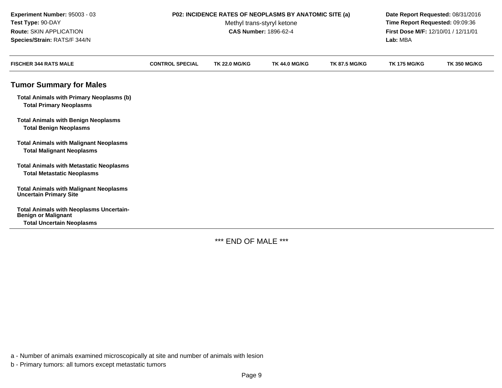| Experiment Number: 95003 - 03<br>Test Type: 90-DAY<br><b>Route: SKIN APPLICATION</b><br>Species/Strain: RATS/F 344/N | P02: INCIDENCE RATES OF NEOPLASMS BY ANATOMIC SITE (a) | Date Report Requested: 08/31/2016<br>Time Report Requested: 09:09:36<br>First Dose M/F: 12/10/01 / 12/11/01<br>Lab: MBA |                      |                      |                     |                     |
|----------------------------------------------------------------------------------------------------------------------|--------------------------------------------------------|-------------------------------------------------------------------------------------------------------------------------|----------------------|----------------------|---------------------|---------------------|
| <b>FISCHER 344 RATS MALE</b>                                                                                         | <b>CONTROL SPECIAL</b>                                 | <b>TK 22.0 MG/KG</b>                                                                                                    | <b>TK 44.0 MG/KG</b> | <b>TK 87.5 MG/KG</b> | <b>TK 175 MG/KG</b> | <b>TK 350 MG/KG</b> |
| <b>Tumor Summary for Males</b>                                                                                       |                                                        |                                                                                                                         |                      |                      |                     |                     |
| <b>Total Animals with Primary Neoplasms (b)</b><br><b>Total Primary Neoplasms</b>                                    |                                                        |                                                                                                                         |                      |                      |                     |                     |
| <b>Total Animals with Benign Neoplasms</b><br><b>Total Benign Neoplasms</b>                                          |                                                        |                                                                                                                         |                      |                      |                     |                     |
| <b>Total Animals with Malignant Neoplasms</b><br><b>Total Malignant Neoplasms</b>                                    |                                                        |                                                                                                                         |                      |                      |                     |                     |
| <b>Total Animals with Metastatic Neoplasms</b><br><b>Total Metastatic Neoplasms</b>                                  |                                                        |                                                                                                                         |                      |                      |                     |                     |
| <b>Total Animals with Malignant Neoplasms</b><br><b>Uncertain Primary Site</b>                                       |                                                        |                                                                                                                         |                      |                      |                     |                     |
| <b>Total Animals with Neoplasms Uncertain-</b><br><b>Benign or Malignant</b><br><b>Total Uncertain Neoplasms</b>     |                                                        |                                                                                                                         |                      |                      |                     |                     |

\*\*\* END OF MALE \*\*\*

a - Number of animals examined microscopically at site and number of animals with lesion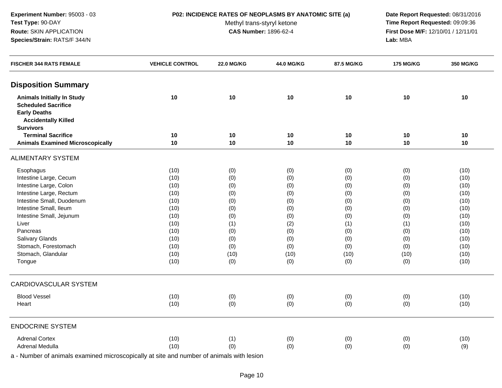# **P02: INCIDENCE RATES OF NEOPLASMS BY ANATOMIC SITE (a) Date Report Requested:** 08/31/2016

Methyl trans-styryl ketone<br>CAS Number: 1896-62-4

 **Time Report Requested:** 09:09:36 **First Dose M/F:** 12/10/01 / 12/11/01<br>**Lab:** MBA **Lab:** MBA

| <b>FISCHER 344 RATS FEMALE</b>          | <b>VEHICLE CONTROL</b> | <b>22.0 MG/KG</b> | 44.0 MG/KG | 87.5 MG/KG | <b>175 MG/KG</b> | 350 MG/KG |
|-----------------------------------------|------------------------|-------------------|------------|------------|------------------|-----------|
| <b>Disposition Summary</b>              |                        |                   |            |            |                  |           |
| <b>Animals Initially In Study</b>       | 10                     | 10                | 10         | 10         | 10               | 10        |
| <b>Scheduled Sacrifice</b>              |                        |                   |            |            |                  |           |
| <b>Early Deaths</b>                     |                        |                   |            |            |                  |           |
| <b>Accidentally Killed</b>              |                        |                   |            |            |                  |           |
| <b>Survivors</b>                        |                        |                   |            |            |                  |           |
| <b>Terminal Sacrifice</b>               | 10                     | 10                | 10         | 10         | 10               | 10        |
| <b>Animals Examined Microscopically</b> | 10                     | $10$              | 10         | 10         | 10               | 10        |
| <b>ALIMENTARY SYSTEM</b>                |                        |                   |            |            |                  |           |
| Esophagus                               | (10)                   | (0)               | (0)        | (0)        | (0)              | (10)      |
| Intestine Large, Cecum                  | (10)                   | (0)               | (0)        | (0)        | (0)              | (10)      |
| Intestine Large, Colon                  | (10)                   | (0)               | (0)        | (0)        | (0)              | (10)      |
| Intestine Large, Rectum                 | (10)                   | (0)               | (0)        | (0)        | (0)              | (10)      |
| Intestine Small, Duodenum               | (10)                   | (0)               | (0)        | (0)        | (0)              | (10)      |
| Intestine Small, Ileum                  | (10)                   | (0)               | (0)        | (0)        | (0)              | (10)      |
| Intestine Small, Jejunum                | (10)                   | (0)               | (0)        | (0)        | (0)              | (10)      |
| Liver                                   | (10)                   | (1)               | (2)        | (1)        | (1)              | (10)      |
| Pancreas                                | (10)                   | (0)               | (0)        | (0)        | (0)              | (10)      |
| Salivary Glands                         | (10)                   | (0)               | (0)        | (0)        | (0)              | (10)      |
| Stomach, Forestomach                    | (10)                   | (0)               | (0)        | (0)        | (0)              | (10)      |
| Stomach, Glandular                      | (10)                   | (10)              | (10)       | (10)       | (10)             | (10)      |
| Tongue                                  | (10)                   | (0)               | (0)        | (0)        | (0)              | (10)      |
| <b>CARDIOVASCULAR SYSTEM</b>            |                        |                   |            |            |                  |           |
| <b>Blood Vessel</b>                     | (10)                   | (0)               | (0)        | (0)        | (0)              | (10)      |
| Heart                                   | (10)                   | (0)               | (0)        | (0)        | (0)              | (10)      |
| <b>ENDOCRINE SYSTEM</b>                 |                        |                   |            |            |                  |           |
| <b>Adrenal Cortex</b>                   | (10)                   | (1)               | (0)        | (0)        | (0)              | (10)      |
| <b>Adrenal Medulla</b>                  | (10)                   | (0)               | (0)        | (0)        | (0)              | (9)       |
|                                         |                        |                   |            |            |                  |           |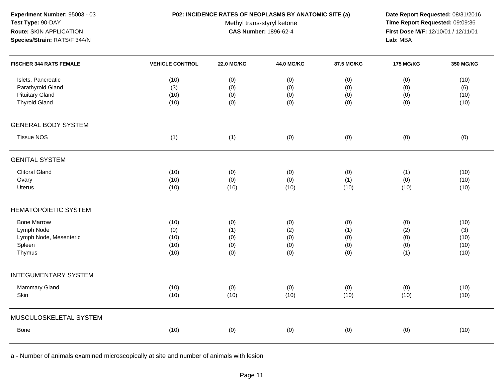# **P02: INCIDENCE RATES OF NEOPLASMS BY ANATOMIC SITE (a) Date Report Requested:** 08/31/2016

Methyl trans-styryl ketone<br>CAS Number: 1896-62-4

 **Time Report Requested:** 09:09:36 **First Dose M/F:** 12/10/01 / 12/11/01<br>**Lab:** MBA **Lab:** MBA

| <b>FISCHER 344 RATS FEMALE</b>                                                 | <b>VEHICLE CONTROL</b>              | <b>22.0 MG/KG</b>               | 44.0 MG/KG                      | 87.5 MG/KG                      | <b>175 MG/KG</b>                | 350 MG/KG                           |
|--------------------------------------------------------------------------------|-------------------------------------|---------------------------------|---------------------------------|---------------------------------|---------------------------------|-------------------------------------|
| Islets, Pancreatic<br>Parathyroid Gland                                        | (10)<br>(3)                         | (0)<br>(0)                      | (0)<br>(0)                      | (0)<br>(0)                      | (0)<br>(0)                      | (10)<br>(6)                         |
| <b>Pituitary Gland</b><br><b>Thyroid Gland</b>                                 | (10)<br>(10)                        | (0)<br>(0)                      | (0)<br>(0)                      | (0)<br>(0)                      | (0)<br>(0)                      | (10)<br>(10)                        |
| <b>GENERAL BODY SYSTEM</b>                                                     |                                     |                                 |                                 |                                 |                                 |                                     |
| <b>Tissue NOS</b>                                                              | (1)                                 | (1)                             | (0)                             | (0)                             | (0)                             | (0)                                 |
| <b>GENITAL SYSTEM</b>                                                          |                                     |                                 |                                 |                                 |                                 |                                     |
| <b>Clitoral Gland</b><br>Ovary<br>Uterus                                       | (10)<br>(10)<br>(10)                | (0)<br>(0)<br>(10)              | (0)<br>(0)<br>(10)              | (0)<br>(1)<br>(10)              | (1)<br>(0)<br>(10)              | (10)<br>(10)<br>(10)                |
| <b>HEMATOPOIETIC SYSTEM</b>                                                    |                                     |                                 |                                 |                                 |                                 |                                     |
| <b>Bone Marrow</b><br>Lymph Node<br>Lymph Node, Mesenteric<br>Spleen<br>Thymus | (10)<br>(0)<br>(10)<br>(10)<br>(10) | (0)<br>(1)<br>(0)<br>(0)<br>(0) | (0)<br>(2)<br>(0)<br>(0)<br>(0) | (0)<br>(1)<br>(0)<br>(0)<br>(0) | (0)<br>(2)<br>(0)<br>(0)<br>(1) | (10)<br>(3)<br>(10)<br>(10)<br>(10) |
| <b>INTEGUMENTARY SYSTEM</b>                                                    |                                     |                                 |                                 |                                 |                                 |                                     |
| Mammary Gland<br>Skin                                                          | (10)<br>(10)                        | (0)<br>(10)                     | (0)<br>(10)                     | (0)<br>(10)                     | (0)<br>(10)                     | (10)<br>(10)                        |
| MUSCULOSKELETAL SYSTEM                                                         |                                     |                                 |                                 |                                 |                                 |                                     |
| Bone                                                                           | (10)                                | (0)                             | (0)                             | (0)                             | (0)                             | (10)                                |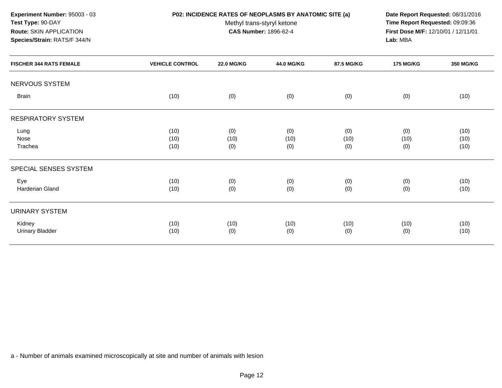**Experiment Number:** 95003 - 03**Test Type:** 90-DAY**Route:** SKIN APPLICATION

# **Species/Strain:** RATS/F 344/N

# **P02: INCIDENCE RATES OF NEOPLASMS BY ANATOMIC SITE (a) Date Report Requested:** 08/31/2016

Methyl trans-styryl ketone<br>CAS Number: 1896-62-4

 **Time Report Requested:** 09:09:36 **First Dose M/F:** 12/10/01 / 12/11/01<br>**Lab:** MBA **Lab:** MBA

| <b>FISCHER 344 RATS FEMALE</b>   | <b>VEHICLE CONTROL</b> | <b>22.0 MG/KG</b>  | 44.0 MG/KG         | 87.5 MG/KG         | <b>175 MG/KG</b>   | 350 MG/KG            |
|----------------------------------|------------------------|--------------------|--------------------|--------------------|--------------------|----------------------|
| NERVOUS SYSTEM                   |                        |                    |                    |                    |                    |                      |
| <b>Brain</b>                     | (10)                   | (0)                | (0)                | (0)                | (0)                | (10)                 |
| <b>RESPIRATORY SYSTEM</b>        |                        |                    |                    |                    |                    |                      |
| Lung<br>Nose<br>Trachea          | (10)<br>(10)<br>(10)   | (0)<br>(10)<br>(0) | (0)<br>(10)<br>(0) | (0)<br>(10)<br>(0) | (0)<br>(10)<br>(0) | (10)<br>(10)<br>(10) |
| SPECIAL SENSES SYSTEM            |                        |                    |                    |                    |                    |                      |
| Eye<br>Harderian Gland           | (10)<br>(10)           | (0)<br>(0)         | (0)<br>(0)         | (0)<br>(0)         | (0)<br>(0)         | (10)<br>(10)         |
| <b>URINARY SYSTEM</b>            |                        |                    |                    |                    |                    |                      |
| Kidney<br><b>Urinary Bladder</b> | (10)<br>(10)           | (10)<br>(0)        | (10)<br>(0)        | (10)<br>(0)        | (10)<br>(0)        | (10)<br>(10)         |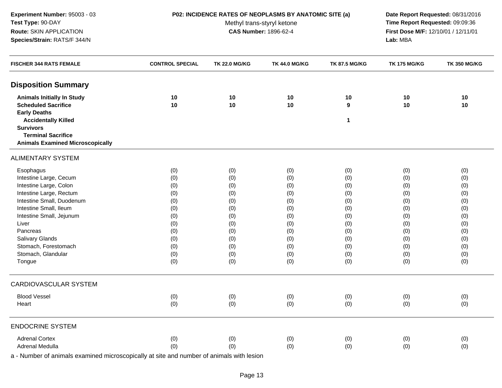# **P02: INCIDENCE RATES OF NEOPLASMS BY ANATOMIC SITE (a) Date Report Requested:** 08/31/2016

Methyl trans-styryl ketone<br>CAS Number: 1896-62-4

 **Time Report Requested:** 09:09:36 **First Dose M/F:** 12/10/01 / 12/11/01<br>**Lab:** MBA **Lab:** MBA

| <b>FISCHER 344 RATS FEMALE</b>                | <b>CONTROL SPECIAL</b> | <b>TK 22.0 MG/KG</b> | <b>TK 44.0 MG/KG</b> | <b>TK 87.5 MG/KG</b> | <b>TK 175 MG/KG</b> | <b>TK 350 MG/KG</b> |
|-----------------------------------------------|------------------------|----------------------|----------------------|----------------------|---------------------|---------------------|
| <b>Disposition Summary</b>                    |                        |                      |                      |                      |                     |                     |
| <b>Animals Initially In Study</b>             | 10                     | 10                   | 10                   | 10                   | 10                  | 10                  |
| <b>Scheduled Sacrifice</b>                    | 10                     | 10                   | 10                   | $\boldsymbol{9}$     | 10                  | 10                  |
| <b>Early Deaths</b>                           |                        |                      |                      |                      |                     |                     |
| <b>Accidentally Killed</b>                    |                        |                      |                      | $\mathbf{1}$         |                     |                     |
| <b>Survivors</b><br><b>Terminal Sacrifice</b> |                        |                      |                      |                      |                     |                     |
| <b>Animals Examined Microscopically</b>       |                        |                      |                      |                      |                     |                     |
| <b>ALIMENTARY SYSTEM</b>                      |                        |                      |                      |                      |                     |                     |
|                                               |                        |                      |                      |                      |                     |                     |
| Esophagus                                     | (0)                    | (0)                  | (0)                  | (0)                  | (0)                 | (0)                 |
| Intestine Large, Cecum                        | (0)                    | (0)                  | (0)                  | (0)                  | (0)                 | (0)                 |
| Intestine Large, Colon                        | (0)                    | (0)                  | (0)                  | (0)                  | (0)                 | (0)                 |
| Intestine Large, Rectum                       | (0)                    | (0)                  | (0)                  | (0)                  | (0)                 | (0)                 |
| Intestine Small, Duodenum                     | (0)                    | (0)                  | (0)                  | (0)                  | (0)                 | (0)                 |
| Intestine Small, Ileum                        | (0)                    | (0)                  | (0)                  | (0)                  | (0)                 | (0)                 |
| Intestine Small, Jejunum                      | (0)                    | (0)                  | (0)                  | (0)                  | (0)                 | (0)                 |
| Liver                                         | (0)                    | (0)                  | (0)                  | (0)                  | (0)                 | (0)                 |
| Pancreas                                      | (0)                    | (0)                  | (0)                  | (0)                  | (0)                 | (0)                 |
| Salivary Glands                               | (0)                    | (0)                  | (0)                  | (0)                  | (0)                 | (0)                 |
| Stomach, Forestomach                          | (0)                    | (0)                  | (0)                  | (0)                  | (0)                 | (0)                 |
| Stomach, Glandular                            | (0)                    | (0)                  | (0)                  | (0)                  | (0)                 | (0)                 |
| Tongue                                        | (0)                    | (0)                  | (0)                  | (0)                  | (0)                 | (0)                 |
| <b>CARDIOVASCULAR SYSTEM</b>                  |                        |                      |                      |                      |                     |                     |
| <b>Blood Vessel</b>                           | (0)                    | (0)                  | (0)                  | (0)                  | (0)                 | (0)                 |
| Heart                                         | (0)                    | (0)                  | (0)                  | (0)                  | (0)                 | (0)                 |
| <b>ENDOCRINE SYSTEM</b>                       |                        |                      |                      |                      |                     |                     |
| <b>Adrenal Cortex</b>                         | (0)                    | (0)                  | (0)                  | (0)                  | (0)                 | (0)                 |
| Adrenal Medulla                               | (0)                    | (0)                  | (0)                  | (0)                  | (0)                 | (0)                 |
|                                               |                        |                      |                      |                      |                     |                     |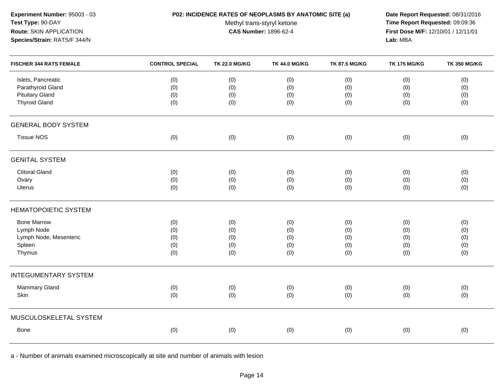# **P02: INCIDENCE RATES OF NEOPLASMS BY ANATOMIC SITE (a) Date Report Requested:** 08/31/2016

Methyl trans-styryl ketone<br>CAS Number: 1896-62-4

 **Time Report Requested:** 09:09:36 **First Dose M/F:** 12/10/01 / 12/11/01<br>**Lab:** MBA **Lab:** MBA

| <b>FISCHER 344 RATS FEMALE</b>                                                            | <b>CONTROL SPECIAL</b>   | <b>TK 22.0 MG/KG</b>     | <b>TK 44.0 MG/KG</b>     | <b>TK 87.5 MG/KG</b>     | <b>TK 175 MG/KG</b>      | <b>TK 350 MG/KG</b>      |
|-------------------------------------------------------------------------------------------|--------------------------|--------------------------|--------------------------|--------------------------|--------------------------|--------------------------|
| Islets, Pancreatic<br>Parathyroid Gland<br><b>Pituitary Gland</b><br><b>Thyroid Gland</b> | (0)<br>(0)<br>(0)<br>(0) | (0)<br>(0)<br>(0)<br>(0) | (0)<br>(0)<br>(0)<br>(0) | (0)<br>(0)<br>(0)<br>(0) | (0)<br>(0)<br>(0)<br>(0) | (0)<br>(0)<br>(0)<br>(0) |
|                                                                                           |                          |                          |                          |                          |                          |                          |
| <b>GENERAL BODY SYSTEM</b>                                                                |                          |                          |                          |                          |                          |                          |
| <b>Tissue NOS</b>                                                                         | (0)                      | (0)                      | (0)                      | (0)                      | (0)                      | (0)                      |
| <b>GENITAL SYSTEM</b>                                                                     |                          |                          |                          |                          |                          |                          |
| <b>Clitoral Gland</b>                                                                     | (0)                      | (0)                      | (0)                      | (0)                      | (0)                      | (0)                      |
| Ovary                                                                                     | (0)                      | (0)                      | (0)                      | (0)                      | (0)                      | (0)                      |
| <b>Uterus</b>                                                                             | (0)                      | (0)                      | (0)                      | (0)                      | (0)                      | (0)                      |
| <b>HEMATOPOIETIC SYSTEM</b>                                                               |                          |                          |                          |                          |                          |                          |
| <b>Bone Marrow</b>                                                                        | (0)                      | (0)                      | (0)                      | (0)                      | (0)                      | (0)                      |
| Lymph Node                                                                                | (0)                      | (0)                      | (0)                      | (0)                      | (0)                      | (0)                      |
| Lymph Node, Mesenteric                                                                    | (0)                      | (0)                      | (0)                      | (0)                      | (0)                      | (0)                      |
| Spleen                                                                                    | (0)                      | (0)                      | (0)                      | (0)                      | (0)                      | (0)                      |
| Thymus                                                                                    | (0)                      | (0)                      | (0)                      | (0)                      | (0)                      | (0)                      |
| <b>INTEGUMENTARY SYSTEM</b>                                                               |                          |                          |                          |                          |                          |                          |
| Mammary Gland                                                                             | (0)                      | (0)                      | (0)                      | (0)                      | (0)                      | (0)                      |
| Skin                                                                                      | (0)                      | (0)                      | (0)                      | (0)                      | (0)                      | (0)                      |
| MUSCULOSKELETAL SYSTEM                                                                    |                          |                          |                          |                          |                          |                          |
| Bone                                                                                      | (0)                      | (0)                      | (0)                      | (0)                      | (0)                      | (0)                      |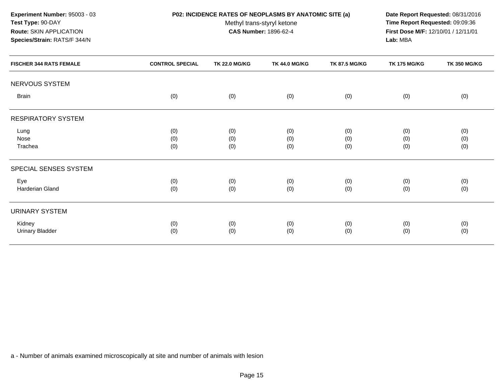# **P02: INCIDENCE RATES OF NEOPLASMS BY ANATOMIC SITE (a) Date Report Requested:** 08/31/2016

Methyl trans-styryl ketone<br>CAS Number: 1896-62-4

 **Time Report Requested:** 09:09:36 **First Dose M/F:** 12/10/01 / 12/11/01<br>**Lab:** MBA **Lab:** MBA

| <b>FISCHER 344 RATS FEMALE</b>   | <b>CONTROL SPECIAL</b> | <b>TK 22.0 MG/KG</b> | <b>TK 44.0 MG/KG</b> | <b>TK 87.5 MG/KG</b> | <b>TK 175 MG/KG</b> | <b>TK 350 MG/KG</b> |
|----------------------------------|------------------------|----------------------|----------------------|----------------------|---------------------|---------------------|
| NERVOUS SYSTEM                   |                        |                      |                      |                      |                     |                     |
| <b>Brain</b>                     | (0)                    | (0)                  | (0)                  | (0)                  | (0)                 | (0)                 |
| RESPIRATORY SYSTEM               |                        |                      |                      |                      |                     |                     |
| Lung<br>Nose<br>Trachea          | (0)<br>(0)<br>(0)      | (0)<br>(0)<br>(0)    | (0)<br>(0)<br>(0)    | (0)<br>(0)<br>(0)    | (0)<br>(0)<br>(0)   | (0)<br>(0)<br>(0)   |
| SPECIAL SENSES SYSTEM            |                        |                      |                      |                      |                     |                     |
| Eye<br>Harderian Gland           | (0)<br>(0)             | (0)<br>(0)           | (0)<br>(0)           | (0)<br>(0)           | (0)<br>(0)          | (0)<br>(0)          |
| URINARY SYSTEM                   |                        |                      |                      |                      |                     |                     |
| Kidney<br><b>Urinary Bladder</b> | (0)<br>(0)             | (0)<br>(0)           | (0)<br>(0)           | (0)<br>(0)           | (0)<br>(0)          | (0)<br>(0)          |
|                                  |                        |                      |                      |                      |                     |                     |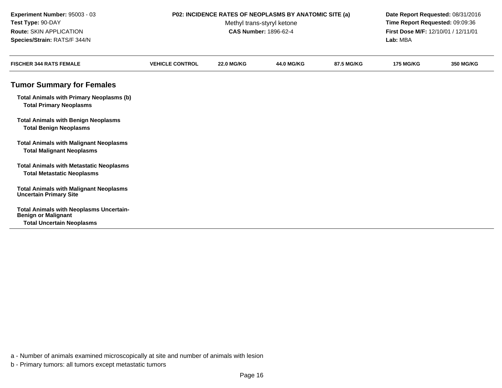**Tumor Summary for FemalesTotal Animals with Primary Neoplasms (b)Total Primary NeoplasmsTotal Animals with Benign NeoplasmsTotal Benign NeoplasmsTotal Animals with Malignant NeoplasmsTotal Malignant NeoplasmsTotal Animals with Metastatic NeoplasmsTotal Metastatic NeoplasmsTotal Animals with Malignant NeoplasmsUncertain Primary SiteTotal Animals with Neoplasms Uncertain-Benign or Malignant Total Uncertain NeoplasmsExperiment Number:** 95003 - 03 **P02: INCIDENCE RATES OF NEOPLASMS BY ANATOMIC SITE (a) Date Report Requested:** 08/31/2016 **Test Type:** 90-DAYMethyl trans-styryl ketone<br>CAS Number: 1896-62-4 **Time Report Requested:** 09:09:36 **Route:** SKIN APPLICATION**First Dose M/F:** 12/10/01 / 12/11/01<br>**Lab:** MBA **Species/Strain:** RATS/F 344/N **Lab:** MBA **FISCHER 344 RATS FEMALE VEHICLE CONTROL 22.0 MG/KG44.0 MG/KG 87.5 MG/KG 175 MG/KG 350 MG/KG**

a - Number of animals examined microscopically at site and number of animals with lesion